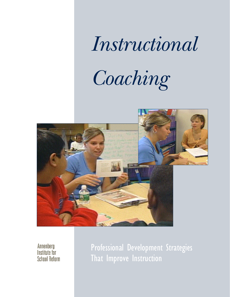## *Instructional*

# *C o a c h i n g*



Annenberg Institute for **School Reform**  Professional Development Strategies That Improve Instruction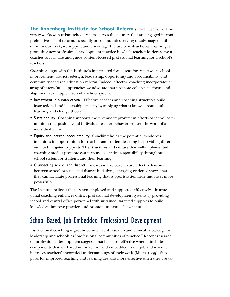**The Annenberg Institute for School Reform** (AISR) at Brown University works with urban school systems across the country that are engaged in comprehensive school reform, especially in communities serving disadvantaged children. In our work, we support and encourage the use of instructional coaching, a promising new professional development practice in which teacher leaders serve as coaches to facilitate and guide content-focused professional learning for a school's teachers.

Coaching aligns with the Institute's interrelated focal areas for systemwide school improvement: district redesign, leadership, opportunity and accountability, and community-centered education reform. Indeed, effective coaching incorporates an array of interrelated approaches we advocate that promote coherence, focus, and alignment at multiple levels of a school system:

- Investment in human capital. Effective coaches and coaching structures build instructional and leadership capacity by applying what is known about adult learning and change theory.
- Sustainability. Coaching supports the systemic improvement efforts of school communities that push beyond individual teacher behavior or even the work of an individual school.
- Equity and internal accountability. Coaching holds the potential to address inequities in opportunities for teacher and student learning by providing differentiated, targeted supports. The structures and culture that well-implemented coaching models promote can increase collective responsibility throughout a school system for students and their learning.
- Connecting school and district. In cases where coaches are effective liaisons between school practice and district initiatives, emerging evidence shows that they can facilitate professional learning that supports systemwide initiatives more powerfully.

The Institute believes that – when employed and supported effectively – instructional coaching enhances district professional development systems by providing school and central office personnel with sustained, targeted supports to build knowledge, improve practice, and promote student achievement.

## School-Based, Job-Embedded Professional Development

Instructional coaching is grounded in current research and clinical knowledge on leadership and schools as "professional communities of practice." Recent research on professional development suggests that it is most effective when it includes components that are based in the school and embedded in the job and when it increases teachers' theoretical understandings of their work (Miller 1995). Supports for improved teaching and learning are also more effective when they are tai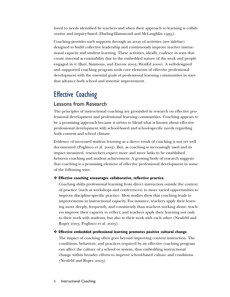lored to needs identified by teachers and when their approach to learning is collaborative and inquiry-based (Darling-Hammond and McLaughlin 1995).

Coaching provides such supports through an array of activities (see sidebar) designed to build collective leadership and continuously improve teacher instructional capacity and student learning. These activities, ideally, coalesce in ways that create internal accountability due to the embedded nature of the work and people engaged in it (Barr, Simmons, and Zarrow 2003; WestEd 2000). A well-designed and -supported coaching program weds core elements of effective professional development with the essential goals of professional learning communities in ways that advance both school and systemic improvement.

## Effective Coaching

#### Lessons from Research

The principles of instructional coaching are grounded in research on effective professional development and professional learning communities. Coaching appears to be a promising approach because it strives to blend what is known about effective professional development with school-based and school-specific needs regarding both content and school climate.

Evidence of increased student learning as a direct result of coaching is not yet well documented (Poglinco et al. 2003). But, as coaching is increasingly used and its impact measured, researchers expect more and more links to be established between coaching and student achievement. A growing body of research suggests that coaching is a promising element of effective professional development in some of the following ways.

#### ❖ **Effective coaching encourages collaborative, reflective practice.**

Coaching shifts professional learning from direct instruction outside the context of practice (such as workshops and conferences) to more varied opportunities to improve discipline-specific practice. Most studies show that coaching leads to improvements in instructional capacity. For instance, teachers apply their learning more deeply, frequently, and consistently than teachers working alone; teachers improve their capacity to reflect; and teachers apply their learning not only to their work with students, but also to their work with each other (Neufeld and Roper 2003; Poglinco et al. 2003).

#### ❖ **Effective embedded professional learning promotes positive cultural change.**

The impact of coaching often goes beyond improving content instruction. The conditions, behaviors, and practices required by an effective coaching program can affect the culture of a school or system, thus embedding instructional change within broader efforts to improve school-based culture and conditions (Neufeld and Roper 2003).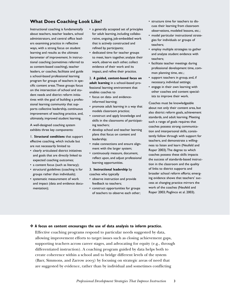#### **What Does Coaching Look Like?**

Instructional coaching is fundamentally about teachers, teacher leaders, school administrators, and central office leaders examining practice in reflective ways, with a strong focus on student learning and results as the ultimate barometer of improvement. In instructional coaching (sometimes referred to as content-based coaching), teacher leaders, or coaches, facilitate and guide a school-based professional learning program for groups of teachers in specific content areas.These groups focus on the intersection of school and student needs and district reform initiatives with the goal of building a professional learning community that supports collective leadership, continuous improvement of teaching practice, and, ultimately, improved student learning.

A well-designed coaching system exhibits three key components:

1. **Structural conditions** that support effective coaching, which include but are not necessarily limited to

- clearly articulated district initiatives and goals that are directly linked to expected coaching outcomes;
- a content focus (such as literacy);
- structural guidelines (coaching is for groups rather than individuals);
- systematic measurement of work and impact (data and evidence documentation);
- a generally accepted set of principles for adult learning, including collaborative, ongoing, job-embedded work that is actively constructed and refined by participants;
- dedicated time for teacher groups to meet, learn together, analyze their work, observe each other, collect evidence of their work and its impact, and refine their practice.

2. **A guided, content-based focus on adult learning** in a school-based professional learning environment that enables coaches to

- focus on data- and evidenceinformed learning;
- promote adult learning in a way that models classroom practice;
- construct and apply knowledge and skills in the classrooms of participating teachers;
- develop school and teacher learning plans that focus on content and leadership;
- make connections and ensure alignment with the larger system;
- continuously measure, document, reflect upon, and adjust professional learning opportunities.

#### 3. **Instructional leadership** by

coaches who typically

- observe instruction and provide feedback to teachers;
- construct opportunities for groups of teachers to observe each other;
- structure time for teachers to discuss their learning from classroom observations, modeled lessons, etc.;
- model particular instructional strategies for individuals or groups of teachers;
- employ multiple strategies to gather and analyze student evidence with teachers;
- facilitate teacher meetings during professional development time, common planning time, etc.;
- support teachers in group, and, if necessary, individual settings;
- engage in their own learning with other coaches and content specialists to improve their work.

Coaches must be knowledgeable about not only their content area, but also district reform goals, achievement standards, and adult learning. Meeting such a range of goals requires that coaches possess strong communication and interpersonal skills, consistently follow through with support for teachers, and demonstrate a willingness to listen and learn (Neufeld and Roper 2003).The degree to which coaches possess these skills impacts the success of standards-based instruction in the classroom and the quality of links to district supports and broader school reform efforts; emerging evidence shows that teachers' success at changing practice mirrors the work of the coaches (Neufeld and Roper 2003; Poglinco et al. 2003).

#### ❖ **A focus on content encourages the use of data analysis to inform practice.**

Effective coaching programs respond to particular needs suggested by data, allowing improvement efforts to target issues such as closing achievement gaps, supporting teachers across career stages, and advocating for equity (e.g., through differentiated instruction). A coaching program guided by data helps both to create coherence within a school and to bridge different levels of the system (Barr, Simmons, and Zarrow 2003) by focusing on strategic areas of need that are suggested by evidence, rather than by individual and sometimes conflicting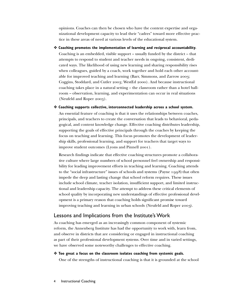opinions. Coaches can then be chosen who have the content expertise and organizational development capacity to lead their "cadres" toward more effective practice in these areas of need at various levels of the educational system.

- ❖ **Coaching promotes the implementation of learning and reciprocal accountability.** Coaching is an embedded, visible support – usually funded by the district – that attempts to respond to student and teacher needs in ongoing, consistent, dedicated ways. The likelihood of using new learning and sharing responsibility rises when colleagues, guided by a coach, work together and hold each other accountable for improved teaching and learning (Barr, Simmons, and Zarrow 2003; Coggins, Stoddard, and Cutler 2003; WestEd 2000). And because instructional coaching takes place in a natural setting – the classroom rather than a hotel ballroom – observation, learning, and experimentation can occur in real situations (Neufeld and Roper 2003).
- ❖ **Coaching supports collective, interconnected leadership across a school system.** An essential feature of coaching is that it uses the relationships between coaches, principals, and teachers to create the conversation that leads to behavioral, pedagogical, and content knowledge change. Effective coaching distributes leadership, supporting the goals of effective principals through the coaches by keeping the focus on teaching and learning. This focus promotes the development of leadership skills, professional learning, and support for teachers that target ways to improve student outcomes (Lyons and Pinnell 2001).

Research findings indicate that effective coaching structures promote a collaborative culture where large numbers of school personnel feel ownership and responsibility for leading improvement efforts in teaching and learning. Coaching attends to the "social infrastructure" issues of schools and systems (Payne  $1008$ ) that often impede the deep and lasting change that school reform requires. These issues include school climate, teacher isolation, insufficient support, and limited instructional and leadership capacity. The attempt to address these critical elements of school quality by incorporating new understandings of effective professional development is a primary reason that coaching holds significant promise toward improving teaching and learning in urban schools (Neufeld and Roper 2003).

#### Lessons and Implications from the Institute's Work

As coaching has emerged as an increasingly common component of systemic reform, the Annenberg Institute has had the opportunity to work with, learn from, and observe in districts that are considering or engaged in instructional coaching as part of their professional development systems. Over time and in varied settings, we have observed some noteworthy challenges to effective coaching.

❖ **Too great a focus on the classroom isolates coaching from systemic goals.**

One of the strengths of instructional coaching is that it is grounded at the school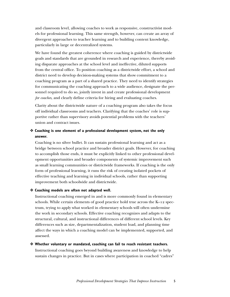and classroom level, allowing coaches to work as responsive, constructivist models for professional learning. This same strength, however, can create an array of divergent approaches to teacher learning and to building content knowledge, particularly in large or decentralized systems.

We have found the greatest coherence where coaching is guided by districtwide goals and standards that are grounded in research and experience, thereby avoiding disparate approaches at the school level and ineffective, diluted supports from the central office. To position coaching as a districtwide effort, a school and district need to develop decision-making systems that show commitment to a coaching program as a part of a shared practice. They need to identify strategies for communicating the coaching approach to a wide audience, designate the personnel required to do so, jointly invest in and create professional development *for coaches*, and clearly define criteria for hiring and evaluating coaches.

Clarity about the districtwide nature of a coaching program also takes the focus off individual classrooms and teachers. Clarifying that the coaches' role is supportive rather than supervisory avoids potential problems with the teachers' union and contract issues.

#### ❖ **Coaching is one element of a professional development system, not the only answer.**

Coaching is no silver bullet. It can sustain professional learning and act as a bridge between school practice and broader district goals. However, for coaching to accomplish those ends, it must be explicitly linked to other professional development opportunities and broader components of systemic improvement such as small learning communities or districtwide frameworks. If coaching is the only form of professional learning, it runs the risk of creating isolated pockets of effective teaching and learning in individual schools, rather than supporting improvement both schoolwide and districtwide.

#### ❖ **Coaching models are often not adapted well.**

Instructional coaching emerged in and is more commonly found in elementary schools. While certain elements of good practice hold true across the K–12 spectrum, trying to apply what worked in elementary schools will often undermine the work in secondary schools. Effective coaching recognizes and adapts to the structural, cultural, and instructional differences of different school levels. Key differences such as size, departmentalization, student load, and planning time affect the ways in which a coaching model can be implemented, supported, and assessed.

#### ❖ **Whether voluntary or mandated, coaching can fail to reach resistant teachers.**

Instructional coaching goes beyond building awareness and knowledge to help sustain changes in practice. But in cases where participation in coached "cadres"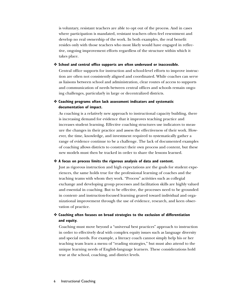is voluntary, resistant teachers are able to opt out of the process. And in cases where participation is mandated, resistant teachers often feel resentment and develop no real ownership of the work. In both examples, the real benefit resides only with those teachers who most likely would have engaged in reflective, ongoing improvement efforts regardless of the structure within which it takes place.

#### ❖ **School and central office supports are often underused or inaccessible.**

Central office supports for instruction and school-level efforts to improve instruction are often not consistently aligned and coordinated. While coaches can serve as liaisons between school and administration, clear routes of access to supports and communication of needs between central offices and schools remain ongoing challenges, particularly in large or decentralized districts.

#### ❖ **Coaching programs often lack assessment indicators and systematic documentation of impact.**

As coaching is a relatively new approach to instructional capacity building, there is increasing demand for evidence that it improves teaching practice and increases student learning. Effective coaching structures use indicators to measure the changes in their practice and assess the effectiveness of their work. However, the time, knowledge, and investment required to systematically gather a range of evidence continue to be a challenge. The lack of documented examples of coaching allows districts to construct their own process and content, but these new models must then be tracked in order to share the lessons learned.

#### ❖ **A focus on process limits the rigorous analysis of data and content.**

Just as rigorous instruction and high expectations are the goals for student experiences, the same holds true for the professional learning of coaches and the teaching teams with whom they work. "Process" activities such as collegial exchange and developing group processes and facilitation skills are highly valued and essential in coaching. But to be effective, the processes need to be grounded in content- and instruction-focused learning geared toward individual and organizational improvement through the use of evidence, research, and keen observation of practice.

#### ❖ **Coaching often focuses on broad strategies to the exclusion of differentiation and equity.**

Coaching must move beyond a "universal best practices" approach to instruction in order to effectively deal with complex equity issues such as language diversity and special needs. For example, a literacy coach cannot simply help his or her teaching team learn a menu of "reading strategies," but must also attend to the unique learning needs of English-language learners. These considerations hold true at the school, coaching, and district levels.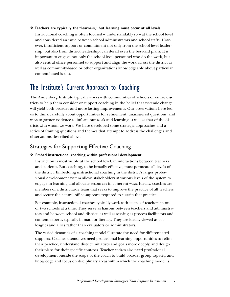#### ❖ **Teachers are typically the "learners," but learning must occur at all levels.**

Instructional coaching is often focused – understandably so – at the school level and considered an issue between school administrators and school staffs. However, insufficient support or commitment not only from the school-level leadership, but also from district leadership, can derail even the best-laid plans. It is important to engage not only the school-level personnel who do the work, but also central office personnel to support and align the work across the district as well as community-based or other organizations knowledgeable about particular content-based issues.

### The Institute's Current Approach to Coaching

The Annenberg Institute typically works with communities of schools or entire districts to help them consider or support coaching in the belief that systemic change will yield both broader and more lasting improvements. Our observations have led us to think carefully about opportunities for refinement, unanswered questions, and ways to garner evidence to inform our work and learning as well as that of the districts with whom we work. We have developed some strategic approaches and a series of framing questions and themes that attempt to address the challenges and observations described above.

#### Strategies for Supporting Effective Coaching

#### ❖ **Embed instructional coaching within professional development.**

Instruction is most visible at the school level, in interactions between teachers and students. But coaching, to be broadly effective, must permeate all levels of the district. Embedding instructional coaching in the district's larger professional development system allows stakeholders at various levels of the system to engage in learning and allocate resources in coherent ways. Ideally, coaches are members of a districtwide team that seeks to improve the practice of all teachers and secure the central office supports required to sustain that practice.

For example, instructional coaches typically work with teams of teachers in one or two schools at a time. They serve as liaisons between teachers and administrators and between school and district, as well as serving as process facilitators and content experts, typically in math or literacy. They are ideally viewed as colleagues and allies rather than evaluators or administrators.

The varied demands of a coaching model illustrate the need for differentiated supports. Coaches themselves need professional learning opportunities to refine their practice, understand district initiatives and goals more deeply, and design their plans for their specific contexts. Teacher cadres also need professional development outside the scope of the coach to build broader group capacity and knowledge and focus on disciplinary areas within which the coaching model is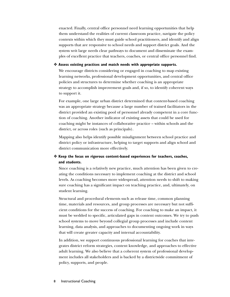enacted. Finally, central office personnel need learning opportunities that help them understand the realities of current classroom practice, navigate the policy contexts within which they must guide school practitioners, and identify and align supports that are responsive to school needs and support district goals. And the system writ large needs clear pathways to document and disseminate the examples of excellent practice that teachers, coaches, or central office personnel find.

#### ❖ **Assess existing practices and match needs with appropriate supports.**

We encourage districts considering or engaged in coaching to map existing learning networks, professional development opportunities, and central office policies and structures to determine whether coaching is an appropriate strategy to accomplish improvement goals and, if so, to identify coherent ways to support it.

For example, one large urban district determined that content-based coaching was an appropriate strategy because a large number of trained facilitators in the district provided an existing pool of personnel already competent in a core function of coaching. Another indicator of existing assets that could be used for coaching might be instances of collaborative practice – within schools and the district, or across roles (such as principals).

Mapping also helps identify possible misalignment between school practice and district policy or infrastructure, helping to target supports and align school and district communication more effectively.

#### ❖ **Keep the focus on rigorous content-based experiences for teachers, coaches, and students.**

Since coaching is a relatively new practice, much attention has been given to creating the conditions necessary to implement coaching at the district and school levels. As coaching becomes more widespread, attention needs to shift to making sure coaching has a significant impact on teaching practice, and, ultimately, on student learning.

Structural and procedural elements such as release time, common planning time, materials and resources, and group processes are necessary but not sufficient conditions for the success of coaching. For coaching to make an impact, it must be wedded to specific, articulated gaps in content outcomes. We try to push school systems to move beyond collegial group processes and include content learning, data analysis, and approaches to documenting ongoing work in ways that will create greater capacity and internal accountability.

In addition, we support continuous professional learning for coaches that integrates district reform strategies, content knowledge, and approaches to effective adult learning. We also believe that a coherent system of professional development includes all stakeholders and is backed by a districtwide commitment of policy, supports, and people.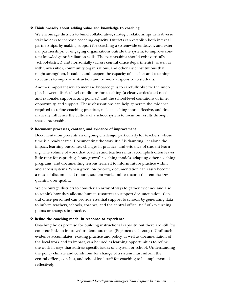#### ❖ **Think broadly about adding value and knowledge to coaching.**

We encourage districts to build collaborative, strategic relationships with diverse stakeholders to increase coaching capacity. Districts can establish both internal partnerships, by making support for coaching a systemwide endeavor, and external partnerships, by engaging organizations outside the system, to improve content knowledge or facilitation skills. The partnerships should exist vertically (school-district) and horizontally (across central office departments), as well as with universities, community organizations, and other civic institutions that might strengthen, broaden, and deepen the capacity of coaches and coaching structures to improve instruction and be more responsive to students.

Another important way to increase knowledge is to carefully observe the interplay between district-level conditions for coaching (a clearly articulated need and rationale, supports, and policies) and the school-level conditions of time, opportunity, and support. These observations can help generate the evidence required to refine coaching practices, make coaching more effective, and dramatically influence the culture of a school system to focus on results through shared ownership.

#### ❖ **Document processes, content, and evidence of improvement.**

Documentation presents an ongoing challenge, particularly for teachers, whose time is already scarce. Documenting the work itself is daunting, let alone the impact, learning outcomes, changes in practice, and evidence of student learning. The volume of work that coaches and teachers must accomplish often leaves little time for capturing "homegrown" coaching models, adapting other coaching programs, and documenting lessons learned to inform future practice within and across systems. When given low priority, documentation can easily become a mass of disconnected reports, student work, and test scores that emphasizes quantity over quality.

We encourage districts to consider an array of ways to gather evidence and also to rethink how they allocate human resources to support documentation. Central office personnel can provide essential support to schools by generating data to inform teachers, schools, coaches, and the central office itself of key turning points or changes in practice.

#### ❖ **Refine the coaching model in response to experience.**

Coaching holds promise for building instructional capacity, but there are still few concrete links to improved student outcomes (Poglinco et al. 2003). Until such evidence accumulates, existing practice and policy, as well as documentation of the local work and its impact, can be used as learning opportunities to refine the work in ways that address specific issues of a system or school. Understanding the policy climate and conditions for change of a system must inform the central offices, coaches, and school-level staff for coaching to be implemented reflectively.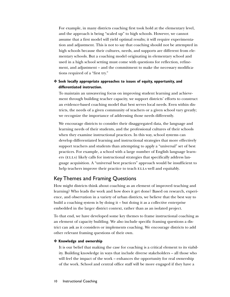For example, in many districts coaching first took hold at the elementary level, and the approach is being "scaled up" to high schools. However, we cannot assume that a first model will yield optimal results; it will require experimentation and adjustment. This is not to say that coaching should not be attempted in high schools because their cultures, needs, and supports are different from elementary schools. But a coaching model originating in elementary school and used in a high school setting must come with questions for reflection, refinement, and adjustment – and the commitment to make the necessary modifications required of a "first try."

#### ❖ **Seek locally appropriate approaches to issues of equity, opportunity, and differentiated instruction.**

To maintain an unwavering focus on improving student learning and achievement through building teacher capacity, we support districts' efforts to construct an evidence-based coaching model that best serves local needs. Even within districts, the needs of a given community of teachers or a given school vary greatly; we recognize the importance of addressing those needs differently.

We encourage districts to consider their disaggregated data, the language and learning needs of their students, and the professional cultures of their schools when they examine instructional practices. In this way, school systems can develop differentiated learning and instructional strategies that more effectively support teachers and students than attempting to apply a "universal" set of best practices. For example, a school with a large number of English language learners (ELLs) likely calls for instructional strategies that specifically address language acquisition. A "universal best practices" approach would be insufficient to help teachers improve their practice to teach ELLs well and equitably.

#### Key Themes and Framing Questions

How might districts think about coaching as an element of improved teaching and learning? Who leads the work and how does it get done? Based on research, experience, and observation in a variety of urban districts, we believe that the best way to build a coaching system is by doing it – but doing it as a collective enterprise embedded in the larger district context, rather than as an isolated project.

To that end, we have developed some key themes to frame instructional coaching as an element of capacity building. We also include specific framing questions a district can ask as it considers or implements coaching. We encourage districts to add other relevant framing questions of their own.

#### ❖ **Knowledge and ownership**

It is our belief that making the case for coaching is a critical element to its viability. Building knowledge in ways that include diverse stakeholders – all those who will feel the impact of the work – enhances the opportunity for real ownership of the work. School and central office staff will be more engaged if they have a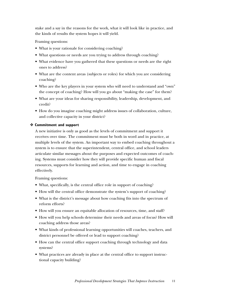stake and a say in the reasons for the work, what it will look like in practice, and the kinds of results the system hopes it will yield.

Framing questions:

- What is your rationale for considering coaching?
- What questions or needs are you trying to address through coaching?
- What evidence have you gathered that these questions or needs are the right ones to address?
- What are the content areas (subjects or roles) for which you are considering coaching?
- Who are the key players in your system who will need to understand and "own" the concept of coaching? How will you go about "making the case" for them?
- What are your ideas for sharing responsibility, leadership, development, and credit?
- How do you imagine coaching might address issues of collaboration, culture, and collective capacity in your district?

#### ❖ **Commitment and support**

A new initiative is only as good as the levels of commitment and support it receives over time. The commitment must be both in word and in practice, at multiple levels of the system. An important way to embed coaching throughout a system is to ensure that the superintendent, central office, and school leaders articulate similar messages about the purposes and expected outcomes of coaching. Systems must consider how they will provide specific human and fiscal resources, supports for learning and action, and time to engage in coaching effectively.

Framing questions:

- What, specifically, is the central office role in support of coaching?
- How will the central office demonstrate the system's support of coaching?
- What is the district's message about how coaching fits into the spectrum of reform efforts?
- How will you ensure an equitable allocation of resources, time, and staff?
- How will you help schools determine their needs and areas of focus? How will coaching address those areas?
- What kinds of professional learning opportunities will coaches, teachers, and district personnel be offered or lead to support coaching?
- How can the central office support coaching through technology and data systems?
- What practices are already in place at the central office to support instructional capacity building?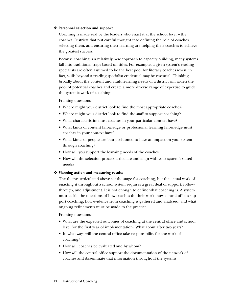#### ❖ **Personnel selection and support**

Coaching is made real by the leaders who enact it at the school level – the coaches. Districts that put careful thought into defining the role of coaches, selecting them, and ensuring their learning are helping their coaches to achieve the greatest success.

Because coaching is a relatively new approach to capacity building, many systems fall into traditional traps based on titles. For example, a given system's reading specialists are often assumed to be the best pool for literacy coaches when, in fact, skills beyond a reading specialist credential may be essential. Thinking broadly about the content and adult learning needs of a district will widen the pool of potential coaches and create a more diverse range of expertise to guide the systemic work of coaching.

#### Framing questions:

- Where might your district look to find the most appropriate coaches?
- Where might your district look to find the staff to support coaching?
- What characteristics must coaches in your particular context have?
- What kinds of content knowledge or professional learning knowledge must coaches in your context have?
- What kinds of people are best positioned to have an impact on your system through coaching?
- How will you support the learning needs of the coaches?
- How will the selection process articulate and align with your system's stated needs?

#### ❖ **Planning action and measuring results**

The themes articulated above set the stage for coaching, but the actual work of enacting it throughout a school system requires a great deal of support, followthrough, and adjustment. It is not enough to define what coaching is. A system must tackle the questions of how coaches do their work, how central offices support coaching, how evidence from coaching is gathered and analyzed, and what ongoing refinements must be made to the practice.

#### Framing questions:

- What are the expected outcomes of coaching at the central office and school level for the first year of implementation? What about after two years?
- In what ways will the central office take responsibility for the work of coaching?
- How will coaches be evaluated and by whom?
- How will the central office support the documentation of the network of coaches and disseminate that information throughout the system?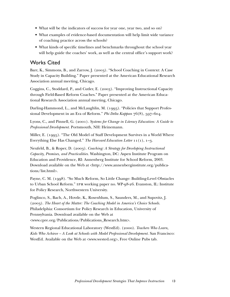- What will be the indicators of success for year one, year two, and so on?
- What examples of evidence-based documentation will help limit wide variance of coaching practice across the schools?
- What kinds of specific timelines and benchmarks throughout the school year will help guide the coaches' work, as well as the central office's support work?

#### Works Cited

Barr, K., Simmons, B., and Zarrow, J. (2003). "School Coaching in Context: A Case Study in Capacity Building." Paper presented at the American Educational Research Association annual meeting, Chicago.

Coggins, C., Stoddard, P., and Cutler, E. (2003). "Improving Instructional Capacity through Field-Based Reform Coaches." Paper presented at the American Educational Research Association annual meeting, Chicago.

Darling-Hammond, L., and McLaughlin, M. (1995). "Policies that Support Professional Development in an Era of Reform." *Phi Delta Kappan* 76(8), 597–604.

Lyons, C., and Pinnell, G. (2001). *Systems for Change in Literacy Education: A Guide to Professional Development.* Portsmouth, NH: Heinemann.

Miller, E. (1995). "The Old Model of Staff Development Survives in a World Where Everything Else Has Changed." *The Harvard Education Letter* 11(1), 1–3.

Neufeld, B., & Roper, D. (2003). *Coaching: A Strategy for Developing Instructional Capacity, Promises, and Practicalities.* Washington, DC: Aspen Institute Program on Education and Providence, RI: Annenberg Institute for School Reform, 2003. Download available on the Web at <http://www.annenberginstitute.org/publications/list.html>.

Payne, C. M. (1998). "So Much Reform, So Little Change: Building-Level Obstacles to Urban School Reform." i pr working paper no. WP-98-26. Evanston, IL: Institute for Policy Research, Northwestern University.

Poglinco, S., Bach, A., Hovde, K., Rosenblum, S., Saunders, M., and Supovitz, J. (2003). *The Heart of the Matter: The Coaching Model in America's Choice Schools.* Philadelphia: Consortium for Policy Research in Education, University of Pennsylvania. Download available on the Web at <www.cpre.org/Publications/Publications\_Research.htm>.

Western Regional Educational Laboratory (WestEd). (2000). *Teachers Who Learn, Kids Who Achieve – A Look at Schools with Model Professional Development.* San Francisco: WestEd. Available on the Web at <www.wested.org>, Free Online Pubs tab.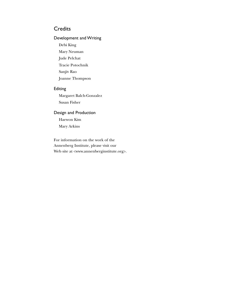#### **Credits**

#### Development and Writing

Debi King Mary Neuman Jude Pelchat Tracie Potochnik Sanjiv Rao Joanne Thompson

#### Editing

Margaret Balch-Gonzalez Susan Fisher

#### Design and Production Haewon Kim Mary Arkins

For information on the work of the Annenberg Institute, please visit our Web site at <www.annenberginstitute.org>.